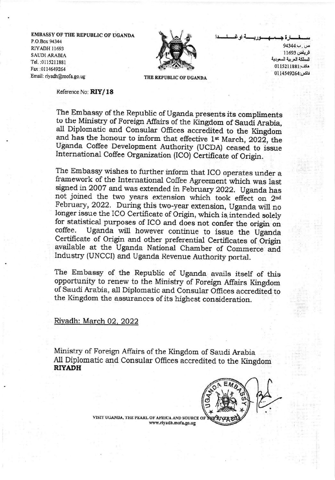**EMBASSY OF THE REPUBLIC OF UGANDA** P.O.Box 94344 **RIYADH 11693 SAUDI ARABIA** Tel.: 0115211881 Fax:0114649264 Email: riyadh@mofa.go.ug



ص ِ بِ4344 الرياض 11693 المملكة العربية السعودية هات: 0115211881 فاكس:0114549264

THE REPUBLIC OF UGANDA

Reference No: RIY/18

The Embassy of the Republic of Uganda presents its compliments to the Ministry of Foreign Affairs of the Kingdom of Saudi Arabia, all Diplomatic and Consular Offices accredited to the Kingdom and has the honour to inform that effective 1st March, 2022, the Uganda Coffee Development Authority (UCDA) ceased to issue International Coffee Organization (ICO) Certificate of Origin.

The Embassy wishes to further inform that ICO operates under a framework of the International Coffee Agreement which was last signed in 2007 and was extended in February 2022. Uganda has not joined the two years extension which took effect on 2nd February, 2022. During this two-year extension, Uganda will no longer issue the ICO Certificate of Origin, which is intended solely for statistical purposes of ICO and does not confer the origin on Uganda will however continue to issue the Uganda coffee. Certificate of Origin and other preferential Certificates of Origin available at the Uganda National Chamber of Commerce and Industry (UNCCI) and Uganda Revenue Authority portal.

The Embassy of the Republic of Uganda avails itself of this opportunity to renew to the Ministry of Foreign Affairs Kingdom of Saudi Arabia, all Diplomatic and Consular Offices accredited to the Kingdom the assurances of its highest consideration.

## Riyadh: March 02, 2022

Ministry of Foreign Affairs of the Kingdom of Saudi Arabia All Diplomatic and Consular Offices accredited to the Kingdom **RIYADH** 



VISIT UGANDA, THE PEARL OF AFRICA AND SOURCE OF www.riyadh.mofa.go.ug